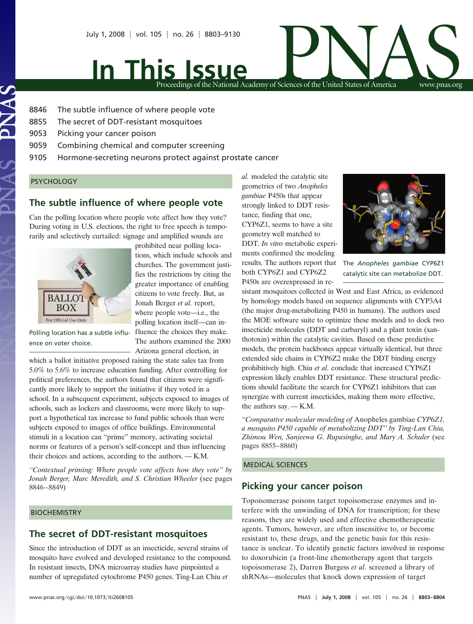

**In This Issue**

Proceedings of the National Academy of Sciences of the United States of America www.pnas.org

- 8846 The subtle influence of where people vote
- 8855 The secret of DDT-resistant mosquitoes
- 9053 Picking your cancer poison
- 9059 Combining chemical and computer screening
- 9105 Hormone-secreting neurons protect against prostate cancer

prohibited near polling locations, which include schools and churches. The government justifies the restrictions by citing the greater importance of enabling citizens to vote freely. But, as Jonah Berger *et al.* report, where people vote—i.e., the polling location itself—can in-

The authors examined the 2000

#### **PSYCHOLOGY**

# **The subtle influence of where people vote**

Can the polling location where people vote affect how they vote? During voting in U.S. elections, the right to free speech is temporarily and selectively curtailed: signage and amplified sounds are



Polling location has a subtle influ- fluence the choices they make. ence on voter choice.

Arizona general election, in which a ballot initiative proposed raising the state sales tax from 5.0% to 5.6% to increase education funding. After controlling for political preferences, the authors found that citizens were significantly more likely to support the initiative if they voted in a school. In a subsequent experiment, subjects exposed to images of schools, such as lockers and classrooms, were more likely to support a hypothetical tax increase to fund public schools than were subjects exposed to images of office buildings. Environmental stimuli in a location can ''prime'' memory, activating societal norms or features of a person's self-concept and thus influencing their choices and actions, according to the authors. — K.M.

*''Contextual priming: Where people vote affects how they vote'' by Jonah Berger, Marc Meredith, and S. Christian Wheeler* (see pages 8846–8849)

### **BIOCHEMISTRY**

## **The secret of DDT-resistant mosquitoes**

Since the introduction of DDT as an insecticide, several strains of mosquito have evolved and developed resistance to the compound. In resistant insects, DNA microarray studies have pinpointed a number of upregulated cytochrome P450 genes. Ting-Lan Chiu *et*

*al.* modeled the catalytic site geometries of two *Anopheles gambiae* P450s that appear strongly linked to DDT resistance, finding that one, CYP6Z1, seems to have a site geometry well matched to DDT. *In vitro* metabolic experiments confirmed the modeling results. The authors report that both CYP6Z1 and CYP6Z2 P450s are overexpressed in re-



The *Anopheles gambiae* CYP6Z1 catalytic site can metabolize DDT.

sistant mosquitoes collected in West and East Africa, as evidenced by homology models based on sequence alignments with CYP3A4 (the major drug-metabolizing P450 in humans). The authors used the MOE software suite to optimize these models and to dock two insecticide molecules (DDT and carbaryl) and a plant toxin (xanthotoxin) within the catalytic cavities. Based on these predictive models, the protein backbones appear virtually identical, but three extended side chains in CYP6Z2 make the DDT binding energy prohibitively high. Chiu *et al.* conclude that increased CYP6Z1 expression likely enables DDT resistance. These structural predictions should facilitate the search for CYP6Z1 inhibitors that can synergize with current insecticides, making them more effective, the authors say. — K.M.

*''Comparative molecular modeling of* Anopheles gambiae *CYP6Z1, a mosquito P450 capable of metabolizing DDT'' by Ting-Lan Chiu, Zhimou Wen, Sanjeewa G. Rupasinghe, and Mary A. Schuler* (see pages 8855–8860)

#### MEDICAL SCIENCES

## **Picking your cancer poison**

Topoisomerase poisons target topoisomerase enzymes and interfere with the unwinding of DNA for transcription; for these reasons, they are widely used and effective chemotherapeutic agents. Tumors, however, are often insensitive to, or become resistant to, these drugs, and the genetic basis for this resistance is unclear. To identify genetic factors involved in response to doxorubicin (a front-line chemotherapy agent that targets topoisomerase 2), Darren Burgess *et al.* screened a library of shRNAs—molecules that knock down expression of target